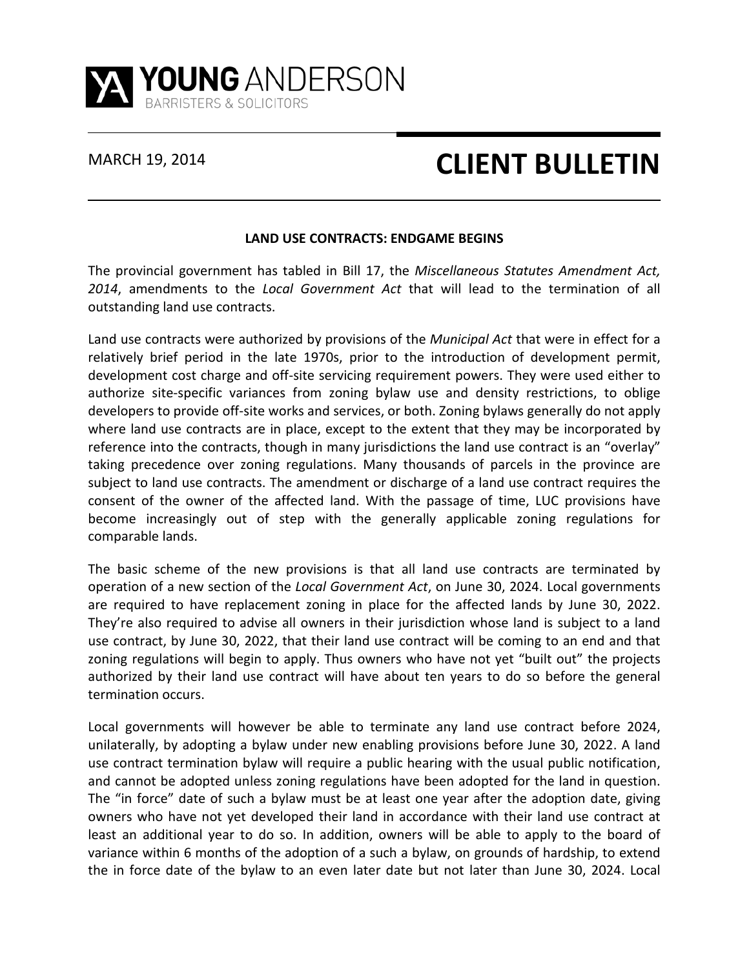

## MARCH 19, 2014 **CLIENT BULLETIN**

## **LAND USE CONTRACTS: ENDGAME BEGINS**

The provincial government has tabled in Bill 17, the *Miscellaneous Statutes Amendment Act, 2014*, amendments to the *Local Government Act* that will lead to the termination of all outstanding land use contracts.

Land use contracts were authorized by provisions of the *Municipal Act* that were in effect for a relatively brief period in the late 1970s, prior to the introduction of development permit, development cost charge and off-site servicing requirement powers. They were used either to authorize site-specific variances from zoning bylaw use and density restrictions, to oblige developers to provide off-site works and services, or both. Zoning bylaws generally do not apply where land use contracts are in place, except to the extent that they may be incorporated by reference into the contracts, though in many jurisdictions the land use contract is an "overlay" taking precedence over zoning regulations. Many thousands of parcels in the province are subject to land use contracts. The amendment or discharge of a land use contract requires the consent of the owner of the affected land. With the passage of time, LUC provisions have become increasingly out of step with the generally applicable zoning regulations for comparable lands.

The basic scheme of the new provisions is that all land use contracts are terminated by operation of a new section of the *Local Government Act*, on June 30, 2024. Local governments are required to have replacement zoning in place for the affected lands by June 30, 2022. They're also required to advise all owners in their jurisdiction whose land is subject to a land use contract, by June 30, 2022, that their land use contract will be coming to an end and that zoning regulations will begin to apply. Thus owners who have not yet "built out" the projects authorized by their land use contract will have about ten years to do so before the general termination occurs.

Local governments will however be able to terminate any land use contract before 2024, unilaterally, by adopting a bylaw under new enabling provisions before June 30, 2022. A land use contract termination bylaw will require a public hearing with the usual public notification, and cannot be adopted unless zoning regulations have been adopted for the land in question. The "in force" date of such a bylaw must be at least one year after the adoption date, giving owners who have not yet developed their land in accordance with their land use contract at least an additional year to do so. In addition, owners will be able to apply to the board of variance within 6 months of the adoption of a such a bylaw, on grounds of hardship, to extend the in force date of the bylaw to an even later date but not later than June 30, 2024. Local